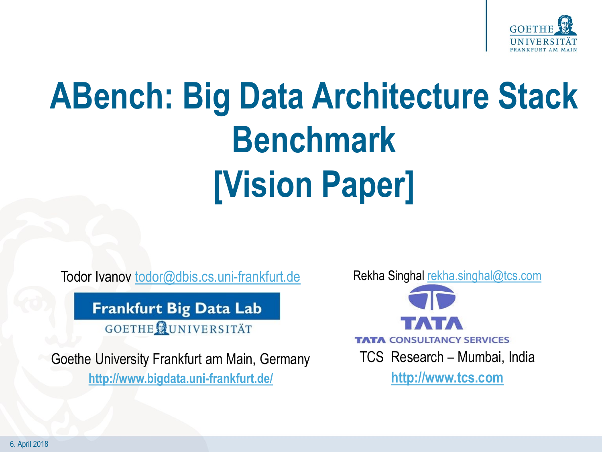

# **ABench: Big Data Architecture Stack Benchmark [Vision Paper]**

Todor Ivanov todor@dbis.cs.uni-frankfurt.de

**Frankfurt Big Data Lab** 

**GOETHE NUNIVERSITÄT** 

Goethe University Frankfurt am Main, Germany **<http://www.bigdata.uni-frankfurt.de/>**

Rekha Singhal [rekha.singhal@tcs.com](mailto:rekha.singhal@tcs.com)



**http://www.tcs.com**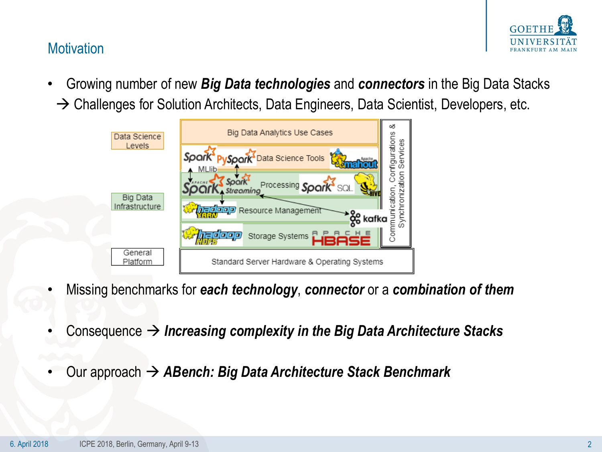

# **Motivation**

• Growing number of new *Big Data technologies* and *connectors* in the Big Data Stacks  $\rightarrow$  Challenges for Solution Architects, Data Engineers, Data Scientist, Developers, etc.



- Missing benchmarks for *each technology*, *connector* or a *combination of them*
- Consequence  $\rightarrow$  Increasing complexity in the Big Data Architecture Stacks
- Our approach *ABench: Big Data Architecture Stack Benchmark*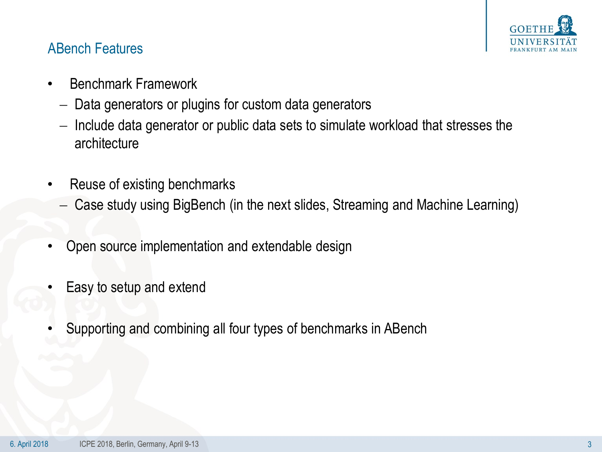

## ABench Features

- Benchmark Framework
	- Data generators or plugins for custom data generators
	- $-$  Include data generator or public data sets to simulate workload that stresses the architecture
- Reuse of existing benchmarks
	- Case study using BigBench (in the next slides, Streaming and Machine Learning)
- Open source implementation and extendable design
- Easy to setup and extend
- Supporting and combining all four types of benchmarks in ABench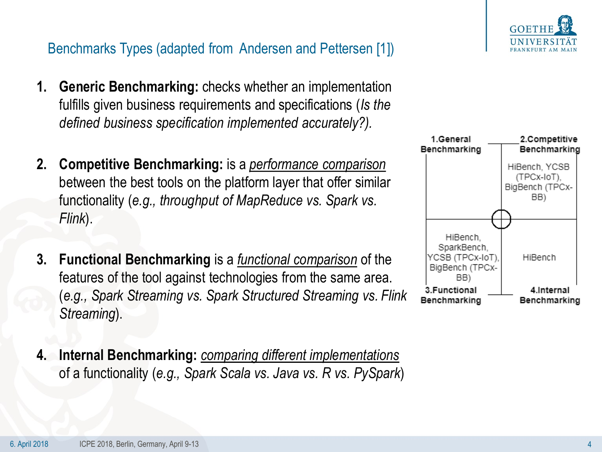# Benchmarks Types (adapted from Andersen and Pettersen [1])

- **1. Generic Benchmarking:** checks whether an implementation fulfills given business requirements and specifications (*Is the defined business specification implemented accurately?).*
- **2. Competitive Benchmarking:** is a *performance comparison* between the best tools on the platform layer that offer similar functionality (*e.g., throughput of MapReduce vs. Spark vs. Flink*).
- **3. Functional Benchmarking** is a *functional comparison* of the features of the tool against technologies from the same area. (*e.g., Spark Streaming vs. Spark Structured Streaming vs. Flink Streaming*).
- **4. Internal Benchmarking:** *comparing different implementations*  of a functionality (*e.g., Spark Scala vs. Java vs. R vs. PySpark*)



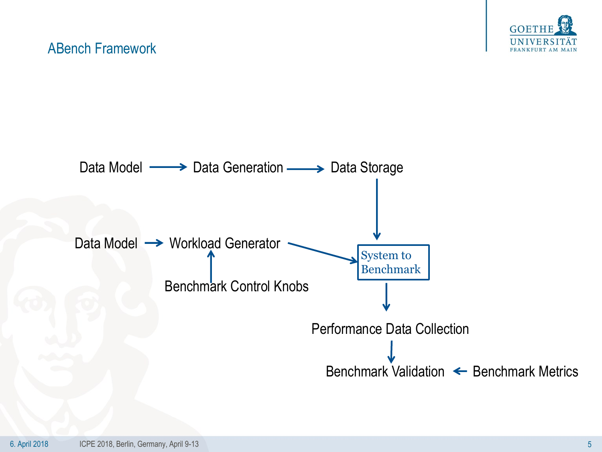

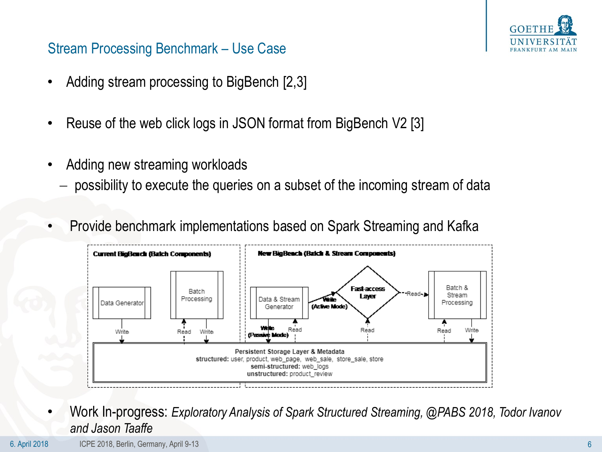

# Stream Processing Benchmark – Use Case

- Adding stream processing to BigBench [2,3]
- Reuse of the web click logs in JSON format from BigBench V2 [3]
- Adding new streaming workloads
	- possibility to execute the queries on a subset of the incoming stream of data
- Provide benchmark implementations based on Spark Streaming and Kafka



• Work In-progress: *Exploratory Analysis of Spark Structured Streaming, @PABS 2018, Todor Ivanov and Jason Taaffe*

6. April 2018 ICPE 2018, Berlin, Germany, April 9-13 6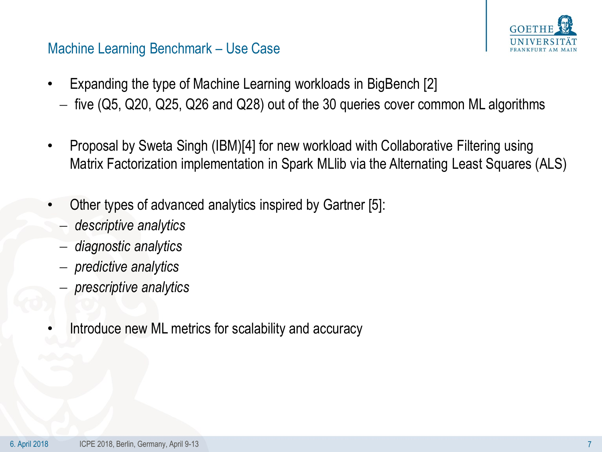

### Machine Learning Benchmark – Use Case

- Expanding the type of Machine Learning workloads in BigBench [2]
	- $-$  five (Q5, Q20, Q25, Q26 and Q28) out of the 30 queries cover common ML algorithms
- Proposal by Sweta Singh (IBM)[4] for new workload with Collaborative Filtering using Matrix Factorization implementation in Spark MLlib via the Alternating Least Squares (ALS)
- Other types of advanced analytics inspired by Gartner [5]:
	- *descriptive analytics*
	- *diagnostic analytics*
	- *predictive analytics*
	- *prescriptive analytics*
- Introduce new ML metrics for scalability and accuracy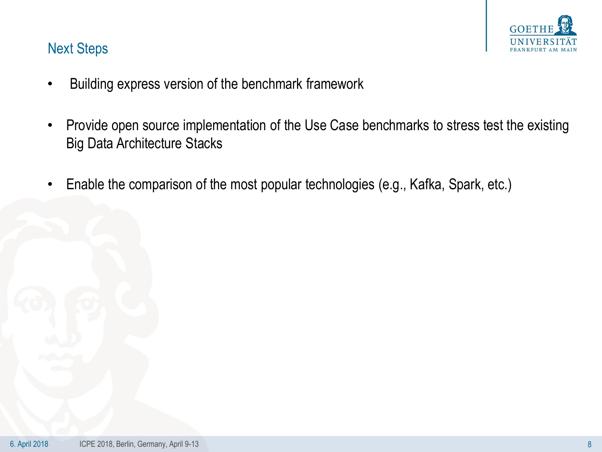

# Next Steps

- Building express version of the benchmark framework
- Provide open source implementation of the Use Case benchmarks to stress test the existing Big Data Architecture Stacks
- Enable the comparison of the most popular technologies (e.g., Kafka, Spark, etc.)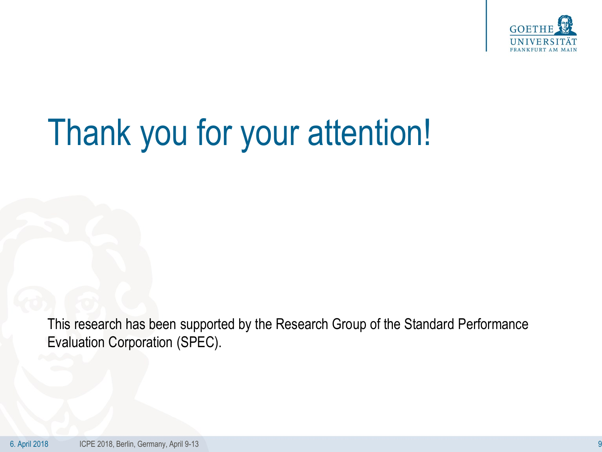

# Thank you for your attention!

This research has been supported by the Research Group of the Standard Performance Evaluation Corporation (SPEC).

6. April 2018 ICPE 2018, Berlin, Germany, April 9-13 9